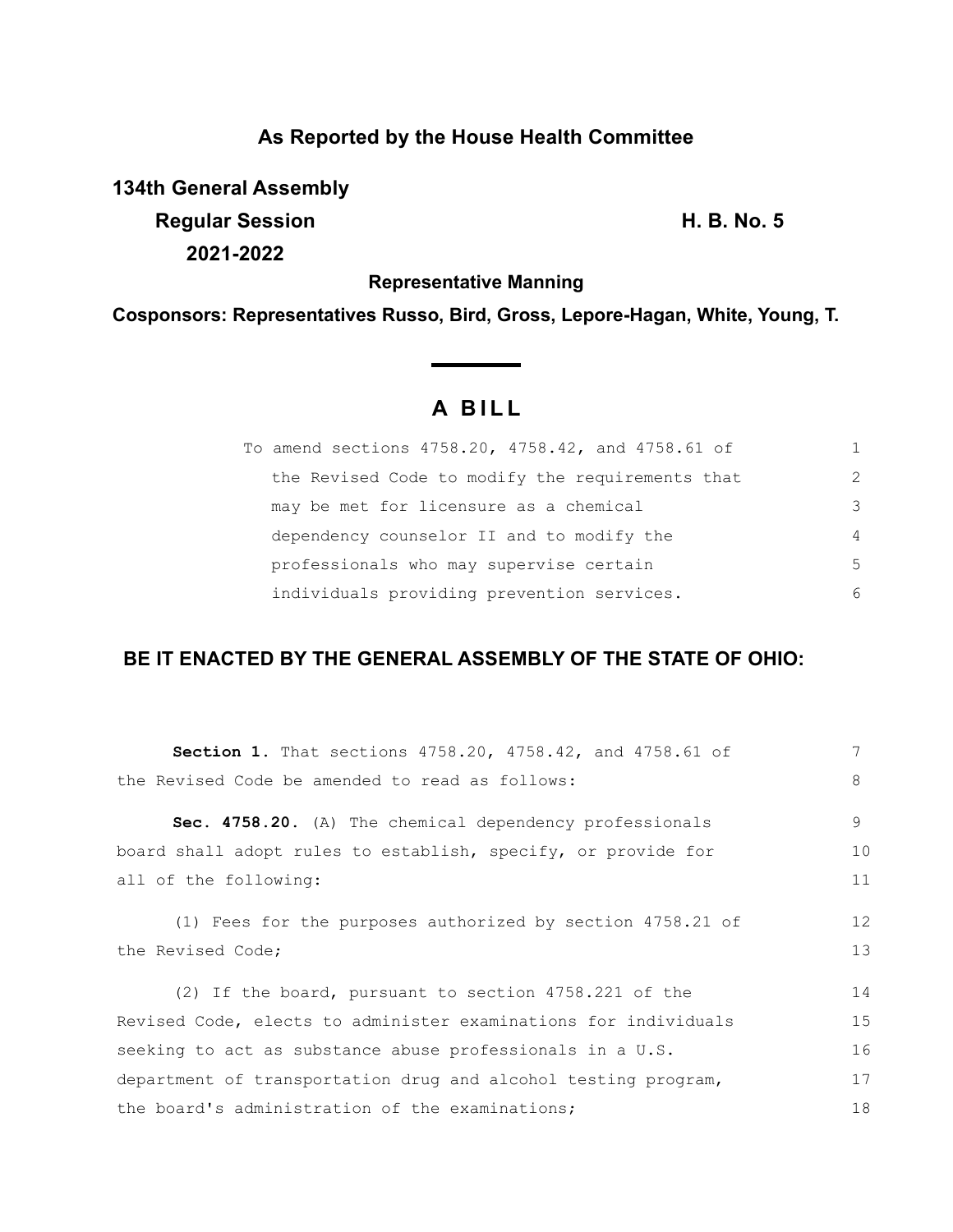# **As Reported by the House Health Committee**

**134th General Assembly Regular Session H. B. No. 5 2021-2022**

**Representative Manning**

**Cosponsors: Representatives Russo, Bird, Gross, Lepore-Hagan, White, Young, T.**

# **A B I L L**

| To amend sections 4758.20, 4758.42, and 4758.61 of |                |
|----------------------------------------------------|----------------|
| the Revised Code to modify the requirements that   | $\mathcal{L}$  |
| may be met for licensure as a chemical             | 3              |
| dependency counselor II and to modify the          | $\overline{4}$ |
| professionals who may supervise certain            | 5              |
| individuals providing prevention services.         | 6              |

## **BE IT ENACTED BY THE GENERAL ASSEMBLY OF THE STATE OF OHIO:**

| <b>Section 1.</b> That sections 4758.20, 4758.42, and 4758.61 of | 7  |
|------------------------------------------------------------------|----|
| the Revised Code be amended to read as follows:                  | 8  |
| Sec. 4758.20. (A) The chemical dependency professionals          | 9  |
| board shall adopt rules to establish, specify, or provide for    | 10 |
| all of the following:                                            | 11 |
| (1) Fees for the purposes authorized by section 4758.21 of       | 12 |
| the Revised Code;                                                | 13 |
| (2) If the board, pursuant to section 4758.221 of the            | 14 |
| Revised Code, elects to administer examinations for individuals  | 15 |
| seeking to act as substance abuse professionals in a U.S.        | 16 |
| department of transportation drug and alcohol testing program,   | 17 |
| the board's administration of the examinations;                  | 18 |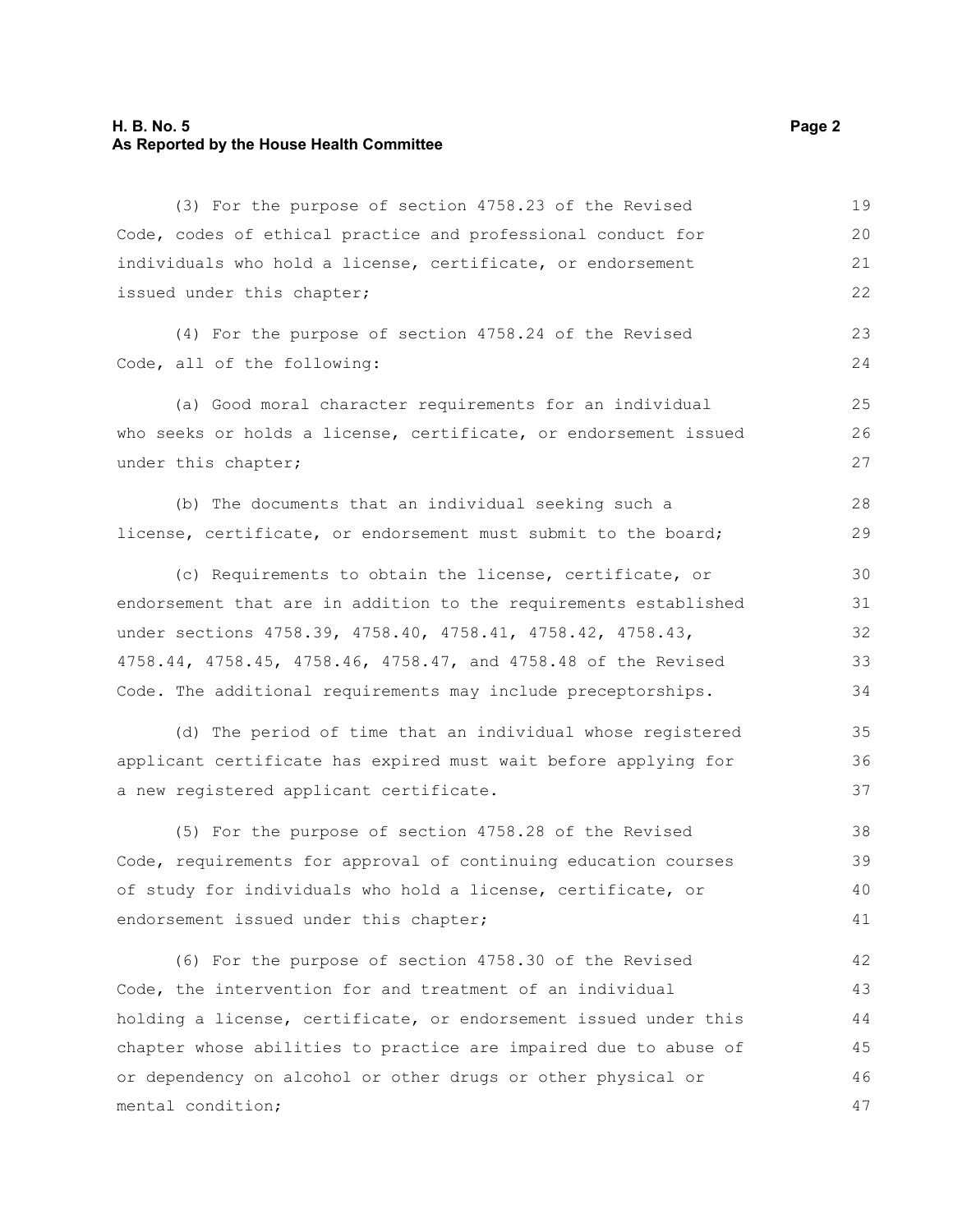## **H. B. No. 5 Page 2 As Reported by the House Health Committee**

| (3) For the purpose of section 4758.23 of the Revised            | 19 |
|------------------------------------------------------------------|----|
| Code, codes of ethical practice and professional conduct for     | 20 |
| individuals who hold a license, certificate, or endorsement      | 21 |
| issued under this chapter;                                       |    |
| (4) For the purpose of section 4758.24 of the Revised            | 23 |
| Code, all of the following:                                      | 24 |
| (a) Good moral character requirements for an individual          | 25 |
| who seeks or holds a license, certificate, or endorsement issued | 26 |
| under this chapter;                                              | 27 |
| (b) The documents that an individual seeking such a              | 28 |
| license, certificate, or endorsement must submit to the board;   | 29 |
| (c) Requirements to obtain the license, certificate, or          | 30 |
| endorsement that are in addition to the requirements established | 31 |
| under sections 4758.39, 4758.40, 4758.41, 4758.42, 4758.43,      | 32 |
| 4758.44, 4758.45, 4758.46, 4758.47, and 4758.48 of the Revised   | 33 |
| Code. The additional requirements may include preceptorships.    | 34 |
| (d) The period of time that an individual whose registered       | 35 |
| applicant certificate has expired must wait before applying for  | 36 |
| a new registered applicant certificate.                          | 37 |
| (5) For the purpose of section 4758.28 of the Revised            | 38 |
| Code, requirements for approval of continuing education courses  | 39 |
| of study for individuals who hold a license, certificate, or     | 40 |
| endorsement issued under this chapter;                           | 41 |
| (6) For the purpose of section 4758.30 of the Revised            | 42 |
| Code, the intervention for and treatment of an individual        | 43 |
| holding a license, certificate, or endorsement issued under this | 44 |
| chapter whose abilities to practice are impaired due to abuse of | 45 |
| or dependency on alcohol or other drugs or other physical or     | 46 |
| mental condition;                                                | 47 |
|                                                                  |    |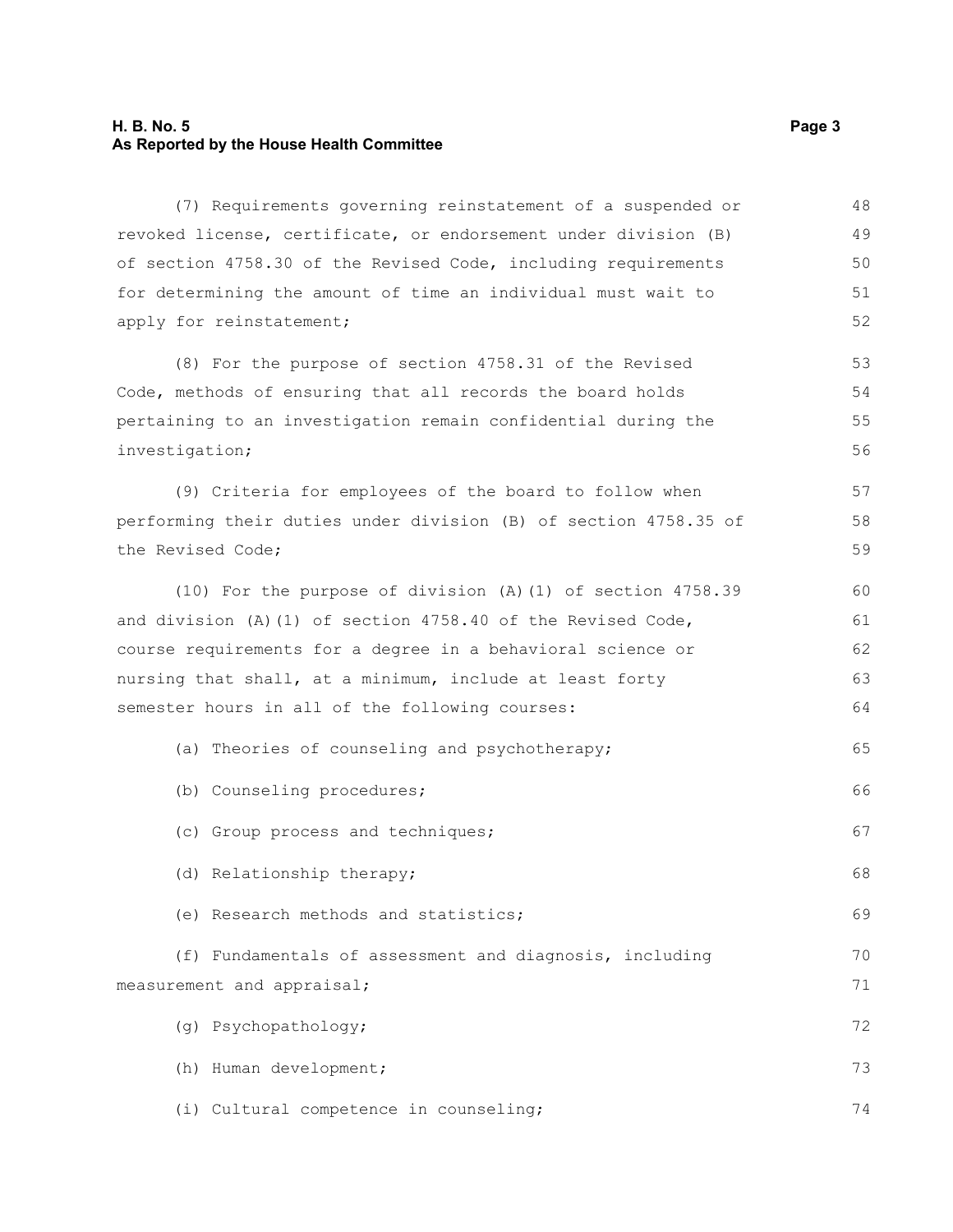#### **H. B. No. 5 Page 3 As Reported by the House Health Committee**

(7) Requirements governing reinstatement of a suspended or revoked license, certificate, or endorsement under division (B) of section 4758.30 of the Revised Code, including requirements for determining the amount of time an individual must wait to apply for reinstatement; (8) For the purpose of section 4758.31 of the Revised Code, methods of ensuring that all records the board holds pertaining to an investigation remain confidential during the investigation; (9) Criteria for employees of the board to follow when performing their duties under division (B) of section 4758.35 of the Revised Code; (10) For the purpose of division (A)(1) of section 4758.39 and division (A)(1) of section 4758.40 of the Revised Code, course requirements for a degree in a behavioral science or nursing that shall, at a minimum, include at least forty semester hours in all of the following courses: (a) Theories of counseling and psychotherapy; (b) Counseling procedures; (c) Group process and techniques; (d) Relationship therapy; (e) Research methods and statistics; (f) Fundamentals of assessment and diagnosis, including measurement and appraisal; (g) Psychopathology; (h) Human development; (i) Cultural competence in counseling; 48 49 50 51 52 53 54 55 56 57 58 59 60 61 62 63 64 65 66 67 68 69 70 71 72 73 74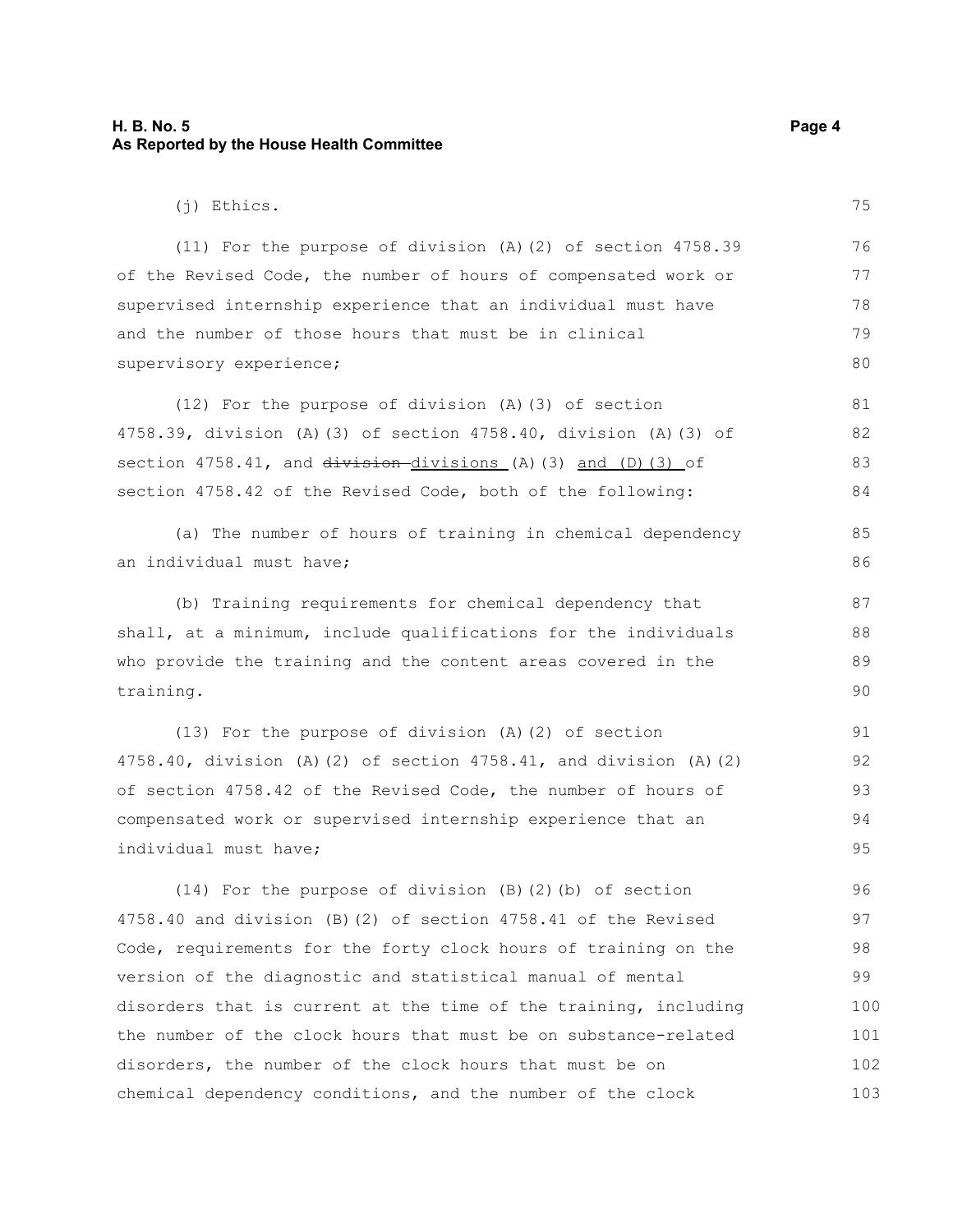#### **H. B. No. 5 Page 4 As Reported by the House Health Committee**

(11) For the purpose of division (A)(2) of section 4758.39 of the Revised Code, the number of hours of compensated work or supervised internship experience that an individual must have and the number of those hours that must be in clinical supervisory experience;

(12) For the purpose of division (A)(3) of section 4758.39, division (A)(3) of section 4758.40, division (A)(3) of section  $4758.41$ , and  $division-divisions$  (A)(3) and (D)(3) of section 4758.42 of the Revised Code, both of the following: 81 82 83 84

(a) The number of hours of training in chemical dependency an individual must have;

(b) Training requirements for chemical dependency that shall, at a minimum, include qualifications for the individuals who provide the training and the content areas covered in the training.

(13) For the purpose of division (A)(2) of section 4758.40, division (A)(2) of section 4758.41, and division (A)(2) of section 4758.42 of the Revised Code, the number of hours of compensated work or supervised internship experience that an individual must have;

(14) For the purpose of division (B)(2)(b) of section 4758.40 and division (B)(2) of section 4758.41 of the Revised Code, requirements for the forty clock hours of training on the version of the diagnostic and statistical manual of mental disorders that is current at the time of the training, including the number of the clock hours that must be on substance-related disorders, the number of the clock hours that must be on chemical dependency conditions, and the number of the clock 96 97 98 99 100 101 102 103

75

85 86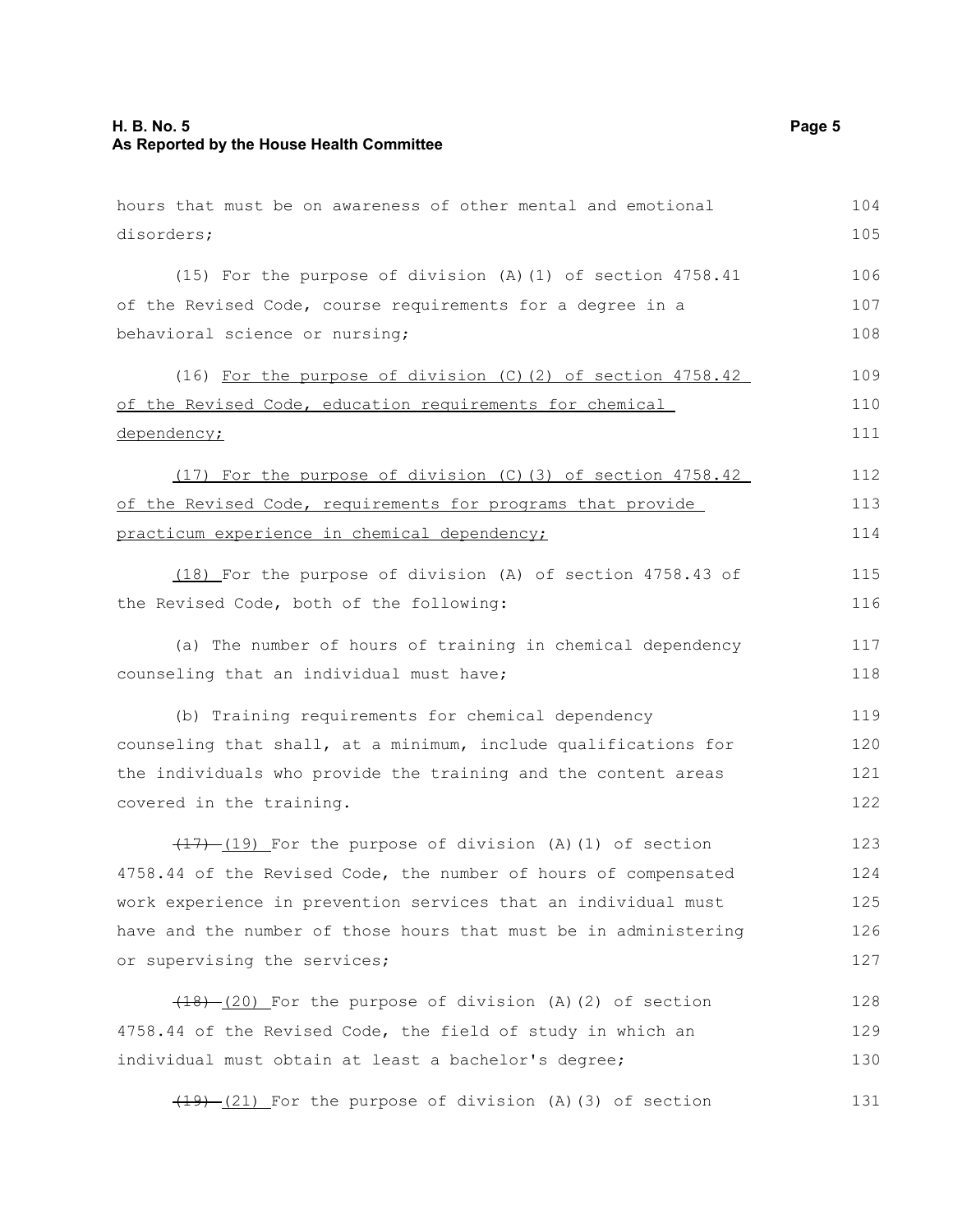| hours that must be on awareness of other mental and emotional    | 104 |
|------------------------------------------------------------------|-----|
| disorders;                                                       | 105 |
| (15) For the purpose of division (A)(1) of section 4758.41       | 106 |
| of the Revised Code, course requirements for a degree in a       | 107 |
| behavioral science or nursing;                                   | 108 |
| (16) For the purpose of division (C) (2) of section 4758.42      | 109 |
| of the Revised Code, education requirements for chemical         | 110 |
| dependency;                                                      | 111 |
| (17) For the purpose of division (C)(3) of section 4758.42       | 112 |
| of the Revised Code, requirements for programs that provide      | 113 |
| practicum experience in chemical dependency;                     | 114 |
| (18) For the purpose of division (A) of section 4758.43 of       | 115 |
| the Revised Code, both of the following:                         | 116 |
| (a) The number of hours of training in chemical dependency       | 117 |
| counseling that an individual must have;                         | 118 |
| (b) Training requirements for chemical dependency                | 119 |
| counseling that shall, at a minimum, include qualifications for  | 120 |
| the individuals who provide the training and the content areas   | 121 |
| covered in the training.                                         | 122 |
| $(17)$ (19) For the purpose of division (A)(1) of section        | 123 |
| 4758.44 of the Revised Code, the number of hours of compensated  | 124 |
| work experience in prevention services that an individual must   | 125 |
| have and the number of those hours that must be in administering | 126 |
| or supervising the services;                                     | 127 |
| $(18)$ $(20)$ For the purpose of division (A)(2) of section      | 128 |
| 4758.44 of the Revised Code, the field of study in which an      | 129 |
| individual must obtain at least a bachelor's degree;             | 130 |
| $(19)$ $(21)$ For the purpose of division (A)(3) of section      | 131 |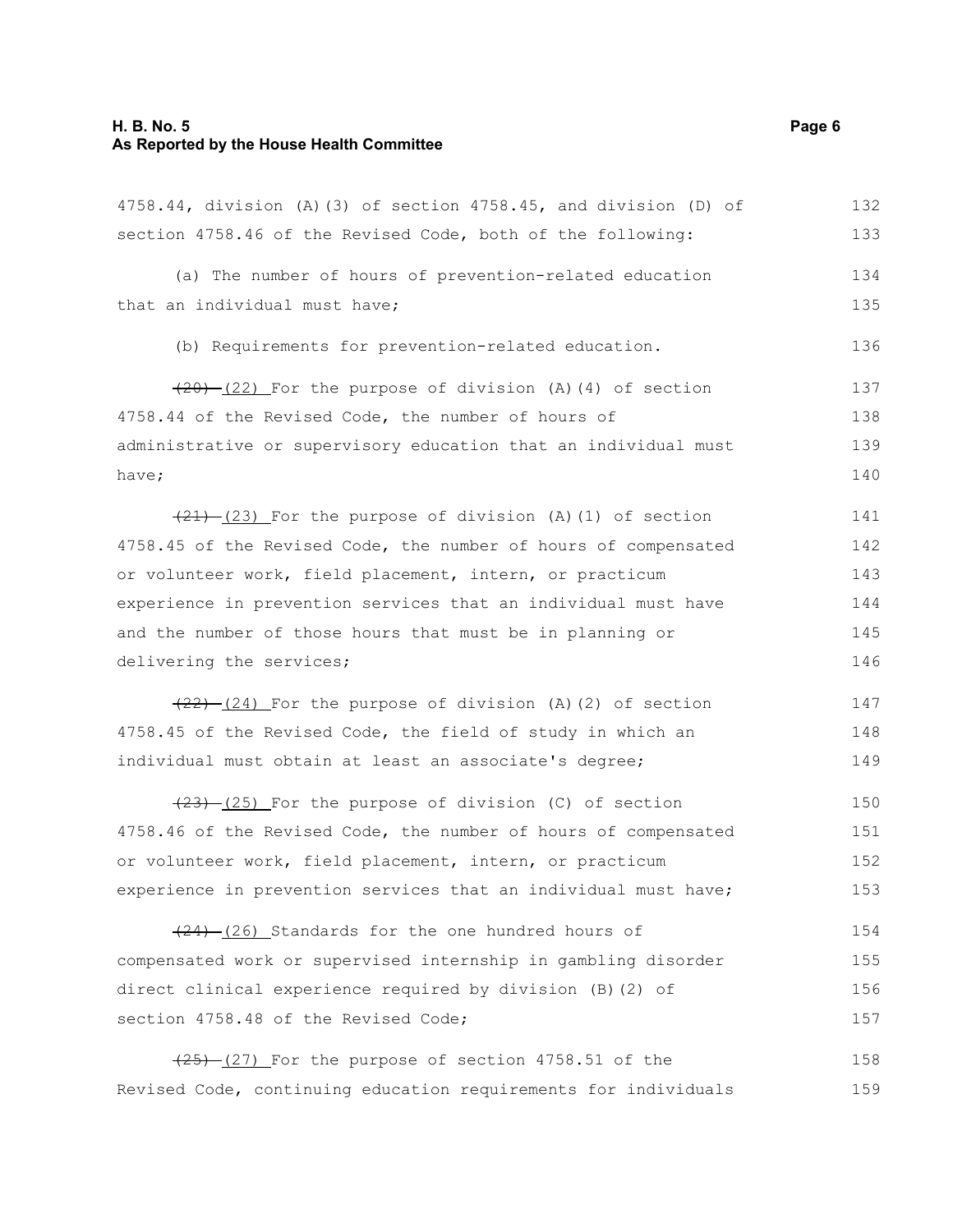## **H. B. No. 5 Page 6 As Reported by the House Health Committee**

| 4758.44, division (A) (3) of section 4758.45, and division (D) of | 132 |
|-------------------------------------------------------------------|-----|
| section 4758.46 of the Revised Code, both of the following:       | 133 |
| (a) The number of hours of prevention-related education           | 134 |
| that an individual must have;                                     | 135 |
| (b) Requirements for prevention-related education.                | 136 |
| $(20)$ $(22)$ For the purpose of division (A)(4) of section       | 137 |
| 4758.44 of the Revised Code, the number of hours of               | 138 |
| administrative or supervisory education that an individual must   | 139 |
| have;                                                             | 140 |
| $(21)$ $(23)$ For the purpose of division (A)(1) of section       | 141 |
| 4758.45 of the Revised Code, the number of hours of compensated   | 142 |
| or volunteer work, field placement, intern, or practicum          | 143 |
| experience in prevention services that an individual must have    | 144 |
| and the number of those hours that must be in planning or         | 145 |
| delivering the services;                                          | 146 |
| $(22)$ $(24)$ For the purpose of division (A)(2) of section       | 147 |
| 4758.45 of the Revised Code, the field of study in which an       | 148 |
| individual must obtain at least an associate's degree;            | 149 |
| $(23)$ $(25)$ For the purpose of division (C) of section          | 150 |
| 4758.46 of the Revised Code, the number of hours of compensated   | 151 |
| or volunteer work, field placement, intern, or practicum          | 152 |
| experience in prevention services that an individual must have;   | 153 |
| $(24)$ $(26)$ Standards for the one hundred hours of              | 154 |
| compensated work or supervised internship in gambling disorder    | 155 |
| direct clinical experience required by division (B) (2) of        | 156 |
| section 4758.48 of the Revised Code;                              | 157 |

 $(25)$   $(27)$  For the purpose of section 4758.51 of the Revised Code, continuing education requirements for individuals 158 159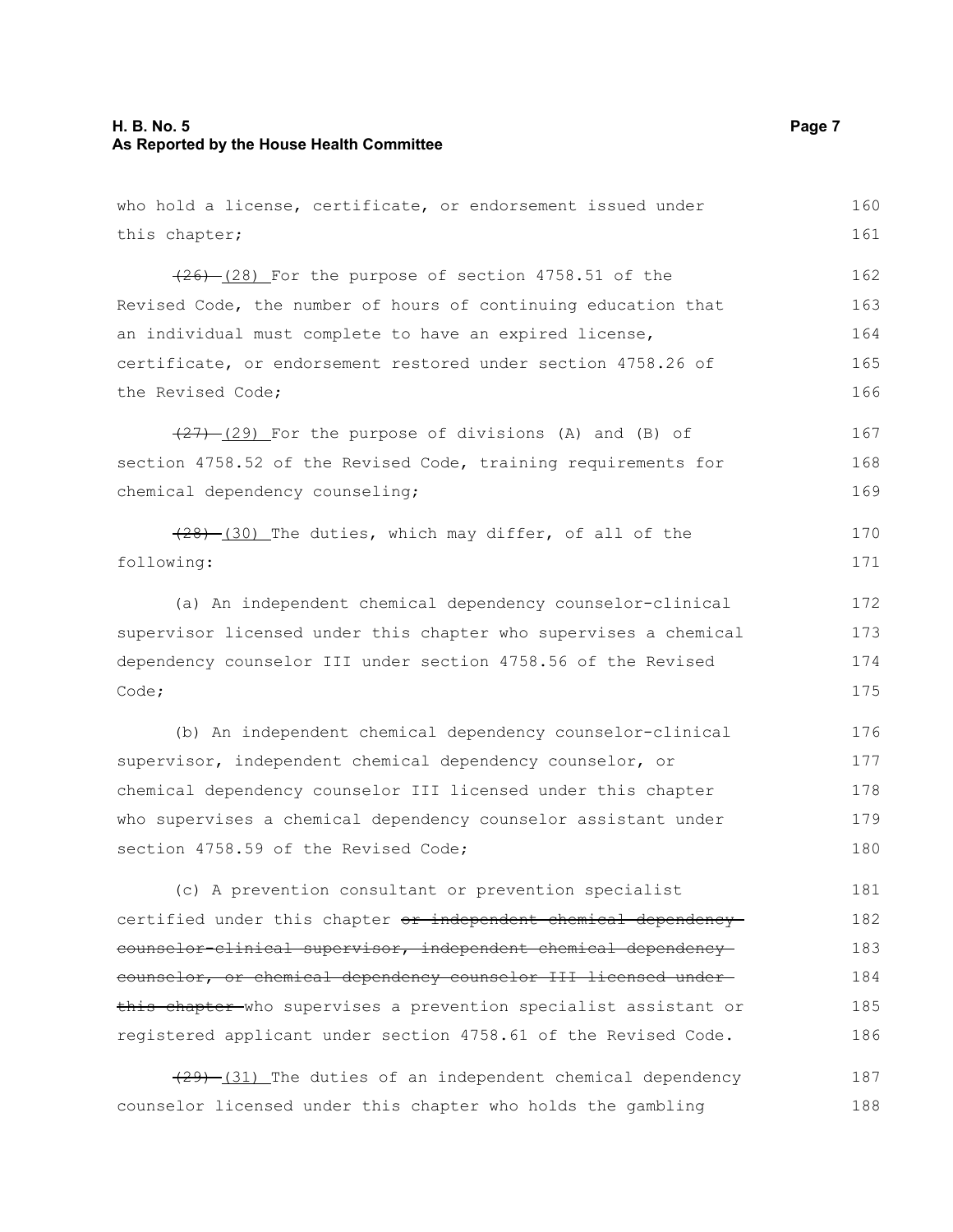#### **H. B. No. 5 Page 7 As Reported by the House Health Committee**

who hold a license, certificate, or endorsement issued under this chapter;  $(26)$   $(28)$  For the purpose of section 4758.51 of the Revised Code, the number of hours of continuing education that an individual must complete to have an expired license, certificate, or endorsement restored under section 4758.26 of the Revised Code;  $(27)$   $(29)$  For the purpose of divisions (A) and (B) of section 4758.52 of the Revised Code, training requirements for chemical dependency counseling;  $(28)$  (30) The duties, which may differ, of all of the following: (a) An independent chemical dependency counselor-clinical supervisor licensed under this chapter who supervises a chemical dependency counselor III under section 4758.56 of the Revised Code; (b) An independent chemical dependency counselor-clinical supervisor, independent chemical dependency counselor, or chemical dependency counselor III licensed under this chapter who supervises a chemical dependency counselor assistant under section 4758.59 of the Revised Code; (c) A prevention consultant or prevention specialist certified under this chapter or independent chemical dependency counselor-clinical supervisor, independent chemical dependency counselor, or chemical dependency counselor III licensed under this chapter who supervises a prevention specialist assistant or registered applicant under section 4758.61 of the Revised Code. (29) (31) The duties of an independent chemical dependency counselor licensed under this chapter who holds the gambling 160 161 162 163 164 165 166 167 168 169 170 171 172 173 174 175 176 177 178 179 180 181 182 183 184 185 186 187 188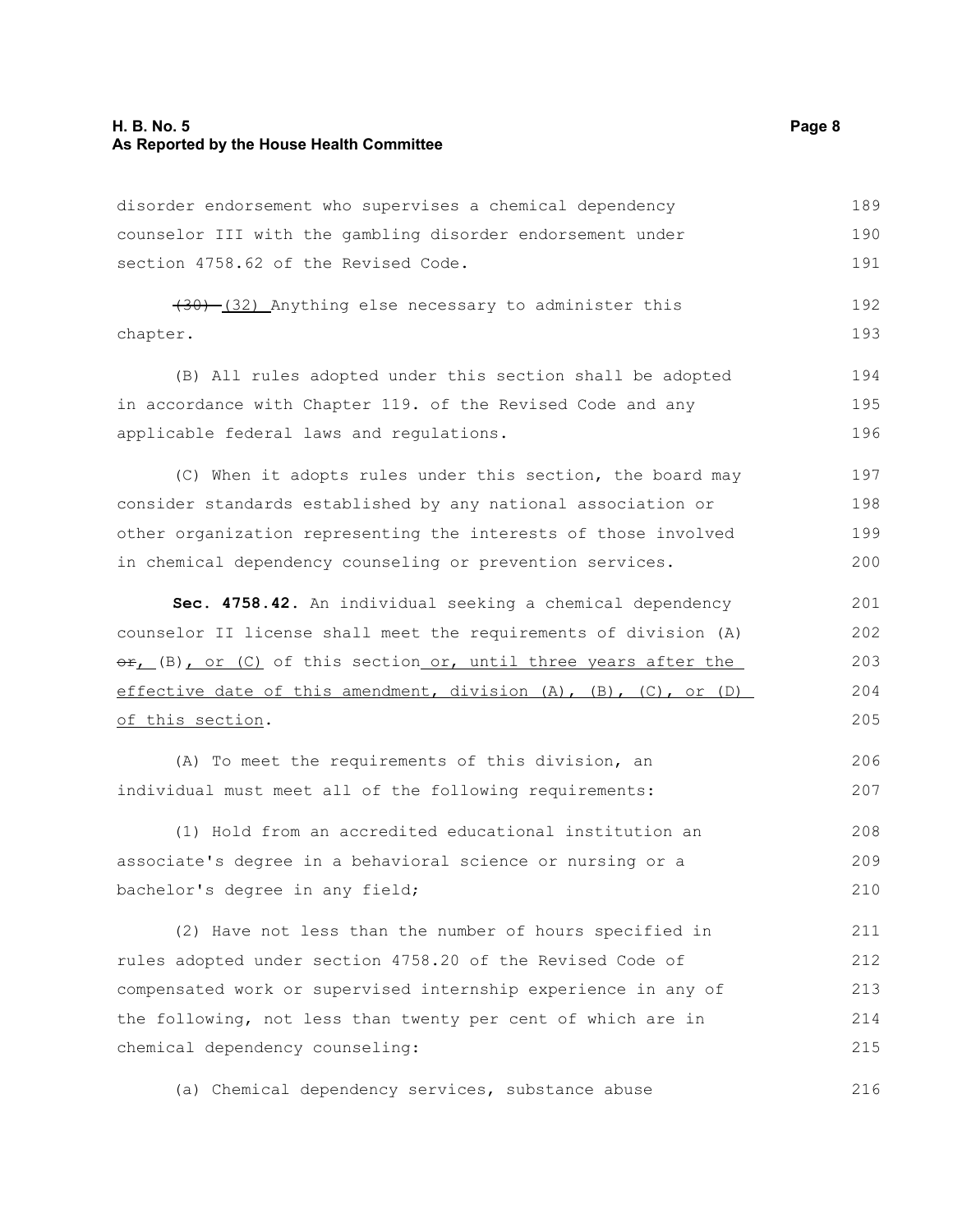#### **H. B. No. 5 Page 8 As Reported by the House Health Committee**

disorder endorsement who supervises a chemical dependency counselor III with the gambling disorder endorsement under section 4758.62 of the Revised Code. 189 190 191

(30) (32) Anything else necessary to administer this chapter. 192 193

(B) All rules adopted under this section shall be adopted in accordance with Chapter 119. of the Revised Code and any applicable federal laws and regulations. 194 195

(C) When it adopts rules under this section, the board may consider standards established by any national association or other organization representing the interests of those involved in chemical dependency counseling or prevention services. 197 198 199 200

**Sec. 4758.42.** An individual seeking a chemical dependency counselor II license shall meet the requirements of division (A)  $\Theta$ r, (B), or (C) of this section or, until three years after the effective date of this amendment, division (A), (B), (C), or (D) of this section. 201 202 203 204 205

(A) To meet the requirements of this division, an individual must meet all of the following requirements: 206 207

(1) Hold from an accredited educational institution an associate's degree in a behavioral science or nursing or a bachelor's degree in any field; 208 209 210

(2) Have not less than the number of hours specified in rules adopted under section 4758.20 of the Revised Code of compensated work or supervised internship experience in any of the following, not less than twenty per cent of which are in chemical dependency counseling: 211 212 213 214 215

(a) Chemical dependency services, substance abuse 216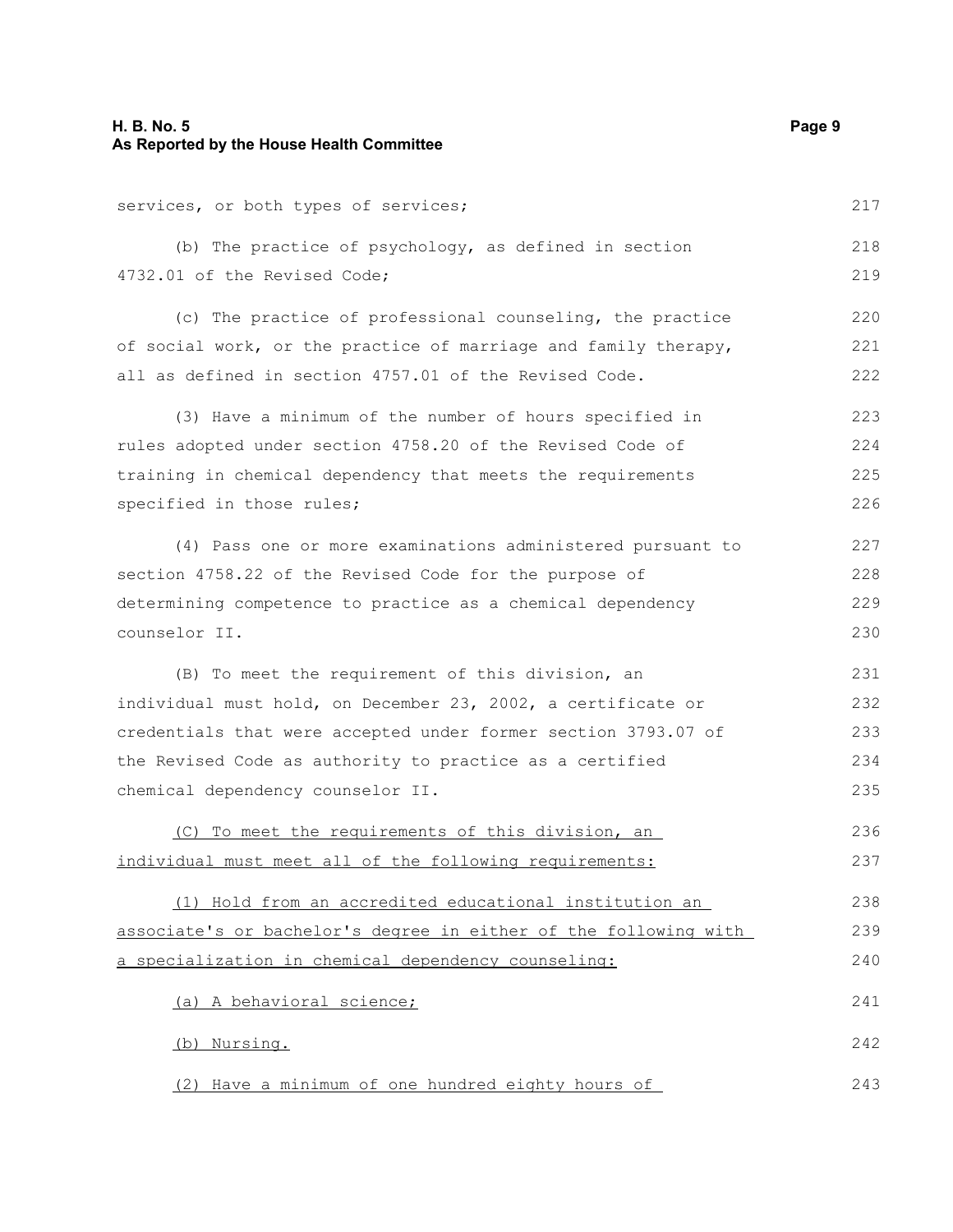### **H. B. No. 5 Page 9 As Reported by the House Health Committee**

services, or both types of services;

(b) The practice of psychology, as defined in section 4732.01 of the Revised Code; 218 219

(c) The practice of professional counseling, the practice of social work, or the practice of marriage and family therapy, all as defined in section 4757.01 of the Revised Code. 220 221 222

(3) Have a minimum of the number of hours specified in rules adopted under section 4758.20 of the Revised Code of training in chemical dependency that meets the requirements specified in those rules; 223 224 225 226

(4) Pass one or more examinations administered pursuant to section 4758.22 of the Revised Code for the purpose of determining competence to practice as a chemical dependency counselor II. 227 228 229 230

(B) To meet the requirement of this division, an individual must hold, on December 23, 2002, a certificate or credentials that were accepted under former section 3793.07 of the Revised Code as authority to practice as a certified chemical dependency counselor II. 231 232 233 234 235

(C) To meet the requirements of this division, an individual must meet all of the following requirements: 236 237

(1) Hold from an accredited educational institution an associate's or bachelor's degree in either of the following with a specialization in chemical dependency counseling: 238 239 240

(a) A behavioral science; (b) Nursing. 241 242

(2) Have a minimum of one hundred eighty hours of

217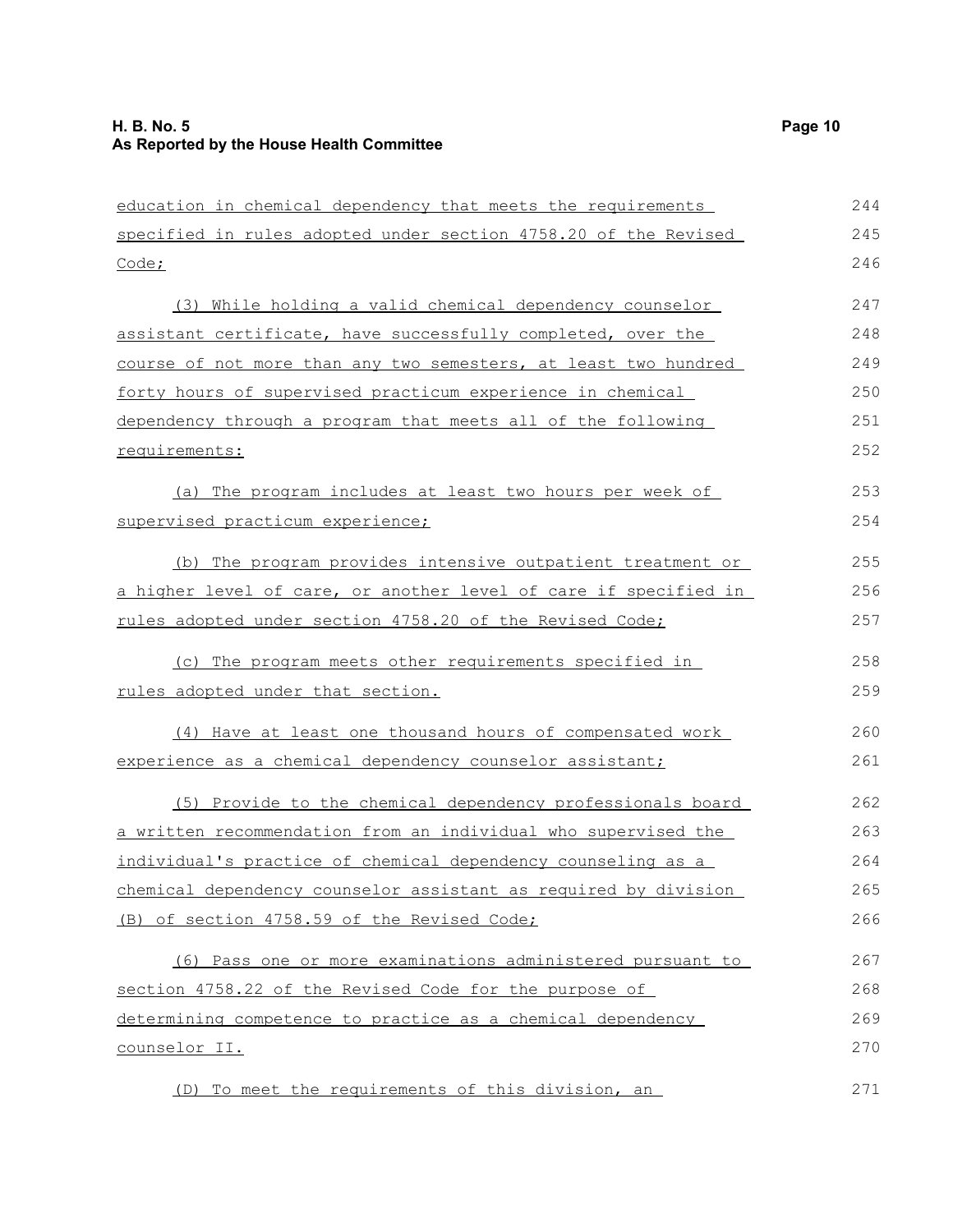| education in chemical dependency that meets the requirements     | 244 |
|------------------------------------------------------------------|-----|
| specified in rules adopted under section 4758.20 of the Revised  | 245 |
| Code;                                                            | 246 |
| (3) While holding a valid chemical dependency counselor          | 247 |
| assistant certificate, have successfully completed, over the     | 248 |
| course of not more than any two semesters, at least two hundred  | 249 |
| forty hours of supervised practicum experience in chemical       | 250 |
| dependency through a program that meets all of the following     | 251 |
| requirements:                                                    | 252 |
| (a) The program includes at least two hours per week of          | 253 |
| supervised practicum experience;                                 | 254 |
| (b) The program provides intensive outpatient treatment or       | 255 |
| a higher level of care, or another level of care if specified in | 256 |
| rules adopted under section 4758.20 of the Revised Code;         | 257 |
| (c) The program meets other requirements specified in            | 258 |
| rules adopted under that section.                                | 259 |
| (4) Have at least one thousand hours of compensated work         | 260 |
| experience as a chemical dependency counselor assistant;         | 261 |
| (5) Provide to the chemical dependency professionals board       | 262 |
| a written recommendation from an individual who supervised the   | 263 |
| individual's practice of chemical dependency counseling as a     | 264 |
| chemical dependency counselor assistant as required by division  | 265 |
| (B) of section 4758.59 of the Revised Code;                      | 266 |
| (6) Pass one or more examinations administered pursuant to       | 267 |
| section 4758.22 of the Revised Code for the purpose of           | 268 |
| determining competence to practice as a chemical dependency      | 269 |
| counselor II.                                                    | 270 |
| (D) To meet the requirements of this division, an                | 271 |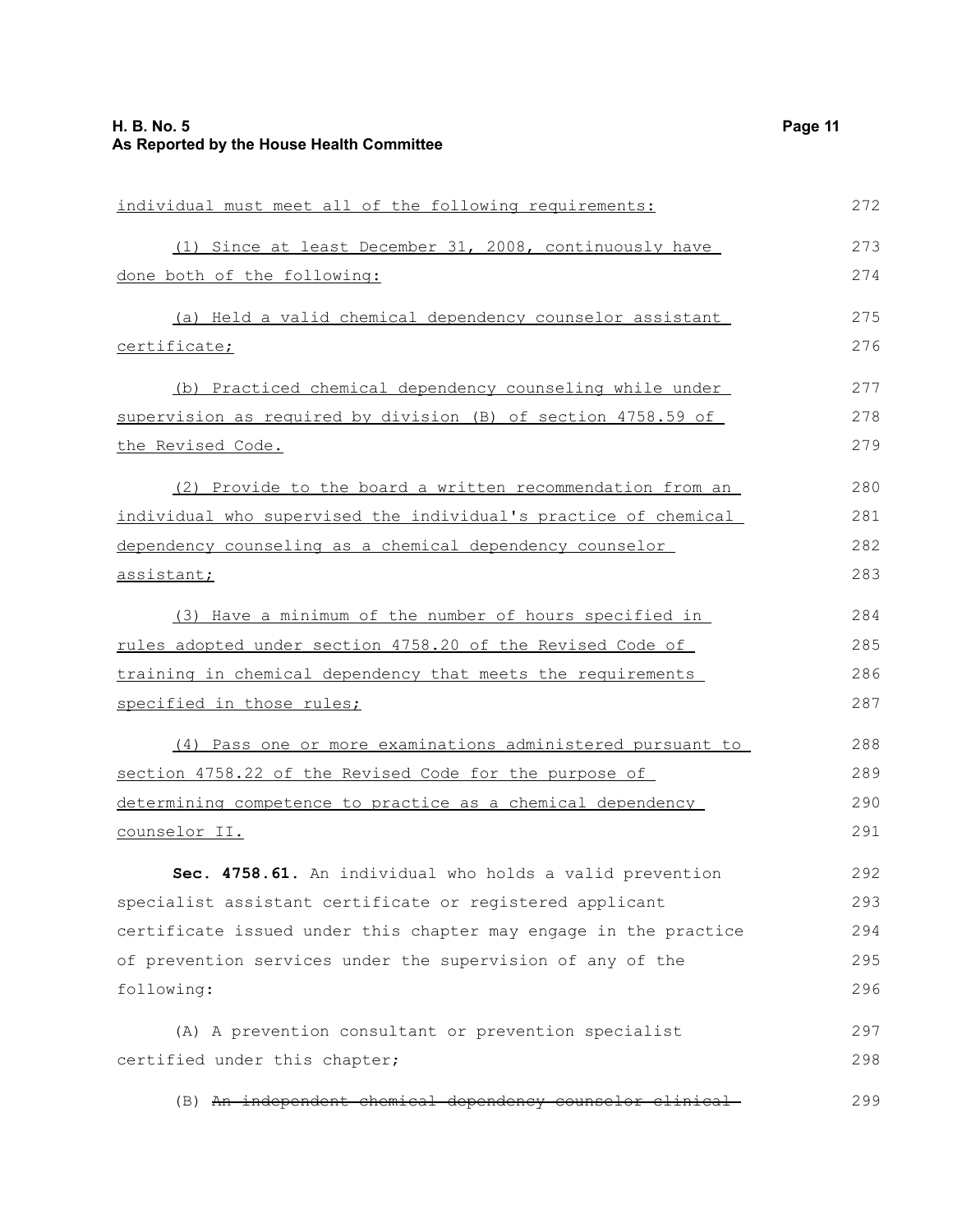| individual must meet all of the following requirements:          | 272 |
|------------------------------------------------------------------|-----|
| (1) Since at least December 31, 2008, continuously have          | 273 |
| done both of the following:                                      | 274 |
| (a) Held a valid chemical dependency counselor assistant         | 275 |
| certificate;                                                     | 276 |
| (b) Practiced chemical dependency counseling while under         | 277 |
| supervision as required by division (B) of section 4758.59 of    | 278 |
| the Revised Code.                                                | 279 |
| (2) Provide to the board a written recommendation from an        | 280 |
| individual who supervised the individual's practice of chemical  | 281 |
| dependency counseling as a chemical dependency counselor         | 282 |
| assistant;                                                       | 283 |
| (3) Have a minimum of the number of hours specified in           | 284 |
| rules adopted under section 4758.20 of the Revised Code of       | 285 |
| training in chemical dependency that meets the requirements      | 286 |
| specified in those rules;                                        | 287 |
| (4) Pass one or more examinations administered pursuant to       | 288 |
| section 4758.22 of the Revised Code for the purpose of           | 289 |
| determining competence to practice as a chemical dependency      | 290 |
| counselor II.                                                    | 291 |
| Sec. 4758.61. An individual who holds a valid prevention         | 292 |
| specialist assistant certificate or registered applicant         | 293 |
| certificate issued under this chapter may engage in the practice | 294 |
| of prevention services under the supervision of any of the       | 295 |
| following:                                                       | 296 |
| (A) A prevention consultant or prevention specialist             | 297 |
| certified under this chapter;                                    | 298 |
| (B) An independent chemical dependency counselor clinical-       | 299 |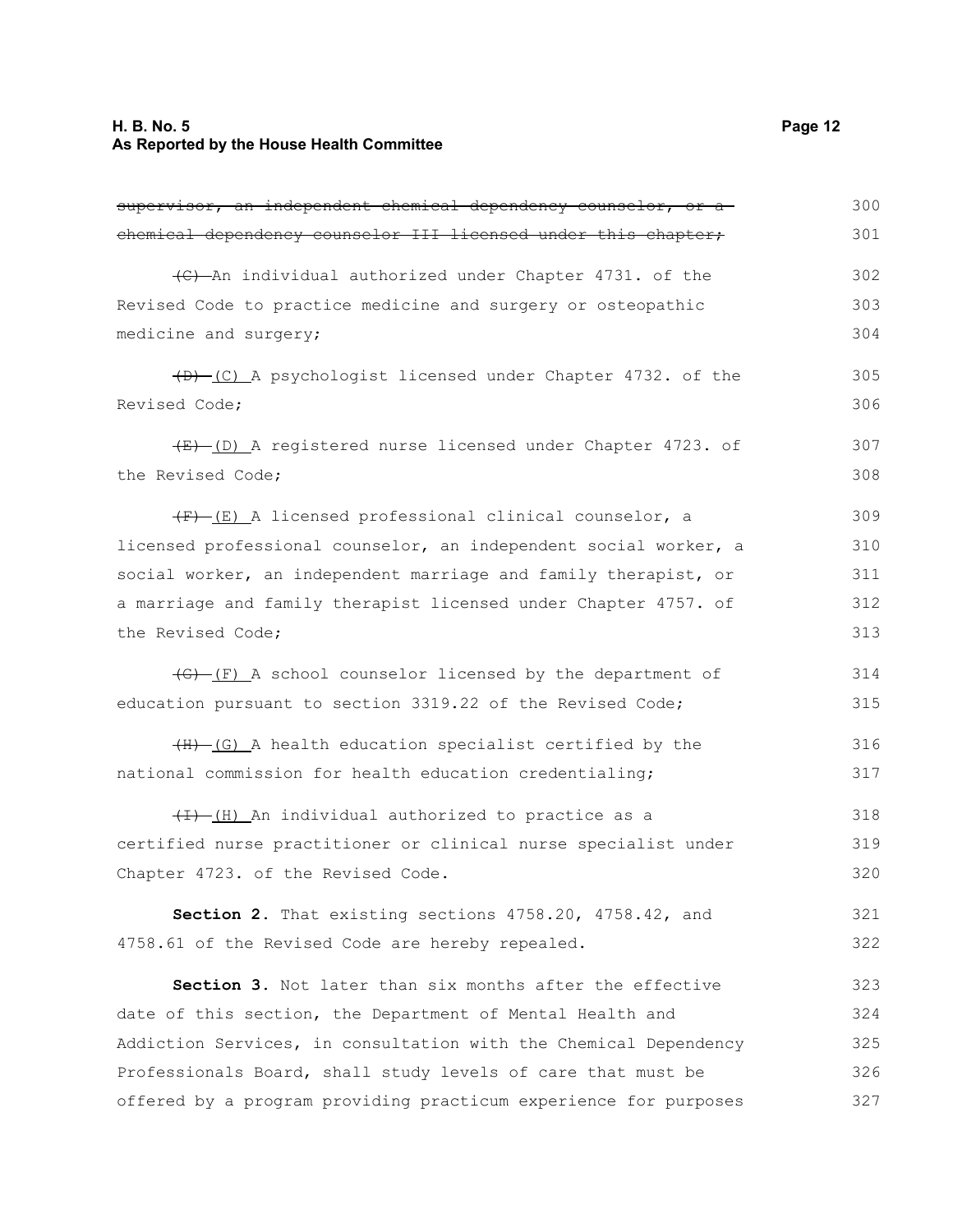## **H. B. No. 5 Page 12 As Reported by the House Health Committee**

| supervisor, an independent chemical dependency counselor, or a        | 300 |
|-----------------------------------------------------------------------|-----|
| chemical dependency counselor III licensed under this chapter,        | 301 |
| (C) An individual authorized under Chapter 4731. of the               | 302 |
| Revised Code to practice medicine and surgery or osteopathic          | 303 |
| medicine and surgery;                                                 | 304 |
| $(D)$ (C) A psychologist licensed under Chapter 4732. of the          | 305 |
| Revised Code;                                                         | 306 |
| (E) (D) A registered nurse licensed under Chapter 4723. of            | 307 |
| the Revised Code;                                                     | 308 |
| $(F)$ (E) A licensed professional clinical counselor, a               | 309 |
| licensed professional counselor, an independent social worker, a      | 310 |
| social worker, an independent marriage and family therapist, or       | 311 |
| a marriage and family therapist licensed under Chapter 4757. of       | 312 |
| the Revised Code;                                                     | 313 |
| $\overline{(f)-(F)}$ A school counselor licensed by the department of | 314 |
| education pursuant to section 3319.22 of the Revised Code;            | 315 |
| $(H)$ (G) A health education specialist certified by the              | 316 |
| national commission for health education credentialing;               | 317 |
| (I) An individual authorized to practice as a                         | 318 |
| certified nurse practitioner or clinical nurse specialist under       | 319 |
| Chapter 4723. of the Revised Code.                                    | 320 |
| Section 2. That existing sections 4758.20, 4758.42, and               | 321 |
| 4758.61 of the Revised Code are hereby repealed.                      | 322 |
| Section 3. Not later than six months after the effective              | 323 |
| date of this section, the Department of Mental Health and             | 324 |
| Addiction Services, in consultation with the Chemical Dependency      | 325 |
| Professionals Board, shall study levels of care that must be          | 326 |
| offered by a program providing practicum experience for purposes      | 327 |